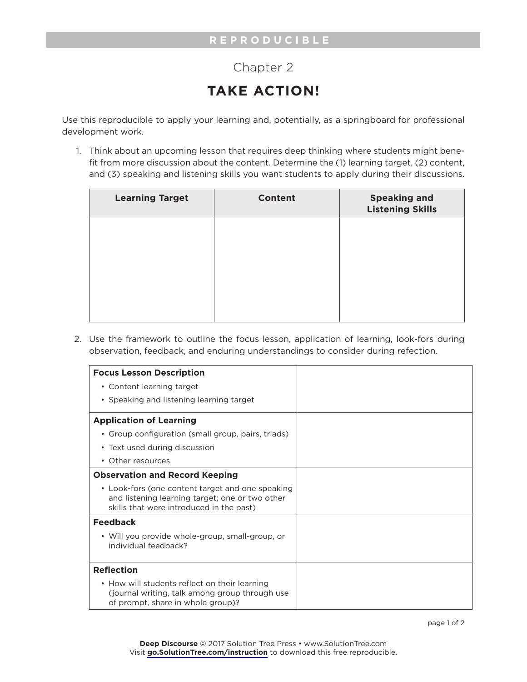## Chapter 2

## **TAKE ACTION!**

Use this reproducible to apply your learning and, potentially, as a springboard for professional development work.

1. Think about an upcoming lesson that requires deep thinking where students might benefit from more discussion about the content. Determine the (1) learning target, (2) content, and (3) speaking and listening skills you want students to apply during their discussions.

| <b>Learning Target</b> | <b>Content</b> | <b>Speaking and</b><br><b>Listening Skills</b> |
|------------------------|----------------|------------------------------------------------|
|                        |                |                                                |
|                        |                |                                                |
|                        |                |                                                |
|                        |                |                                                |

2. Use the framework to outline the focus lesson, application of learning, look-fors during observation, feedback, and enduring understandings to consider during refection.

| <b>Focus Lesson Description</b>                                                                                                                 |  |
|-------------------------------------------------------------------------------------------------------------------------------------------------|--|
| • Content learning target                                                                                                                       |  |
| • Speaking and listening learning target                                                                                                        |  |
| <b>Application of Learning</b>                                                                                                                  |  |
| • Group configuration (small group, pairs, triads)                                                                                              |  |
| • Text used during discussion                                                                                                                   |  |
| • Other resources                                                                                                                               |  |
| <b>Observation and Record Keeping</b>                                                                                                           |  |
| • Look-fors (one content target and one speaking<br>and listening learning target; one or two other<br>skills that were introduced in the past) |  |
| <b>Feedback</b>                                                                                                                                 |  |
| • Will you provide whole-group, small-group, or<br>individual feedback?                                                                         |  |
| <b>Reflection</b>                                                                                                                               |  |
| • How will students reflect on their learning<br>(journal writing, talk among group through use<br>of prompt, share in whole group)?            |  |